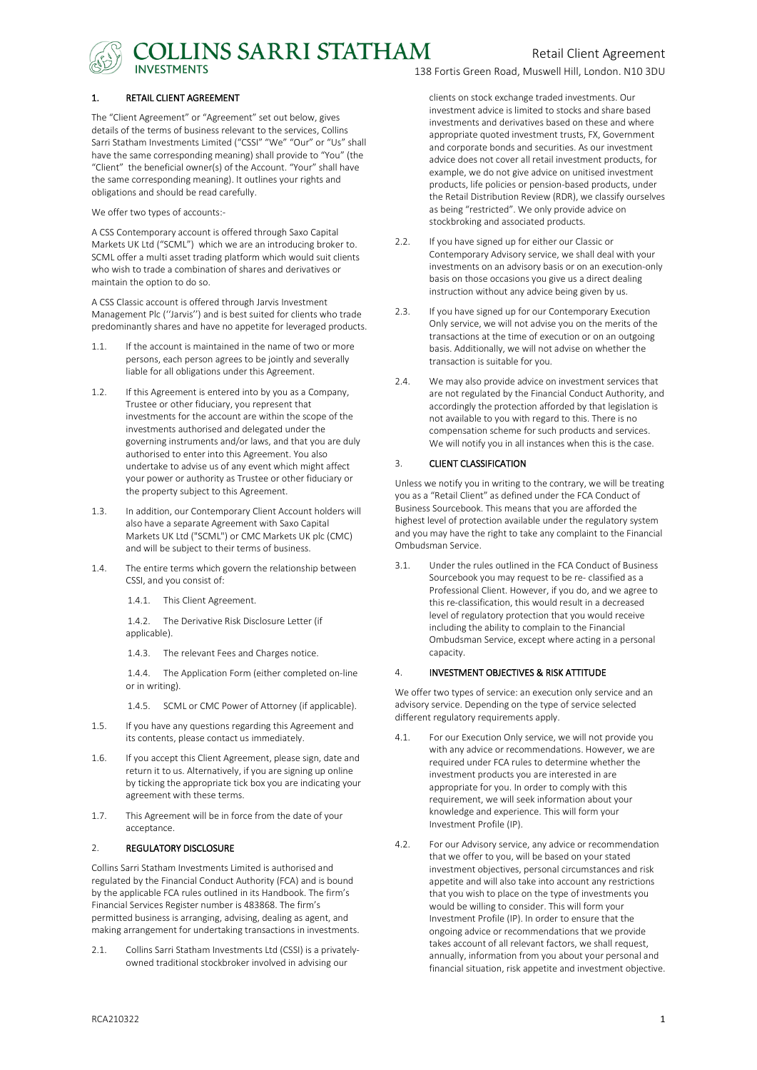

**DLLINS SARRI STATHAM** 

#### 1. RETAIL CLIENT AGREEMENT

The "Client Agreement" or "Agreement" set out below, gives details of the terms of business relevant to the services, Collins Sarri Statham Investments Limited ("CSSI" "We" "Our" or "Us" shall have the same corresponding meaning) shall provide to "You" (the "Client" the beneficial owner(s) of the Account. "Your" shall have the same corresponding meaning). It outlines your rights and obligations and should be read carefully.

We offer two types of accounts:-

A CSS Contemporary account is offered through Saxo Capital Markets UK Ltd ("SCML") which we are an introducing broker to. SCML offer a multi asset trading platform which would suit clients who wish to trade a combination of shares and derivatives or maintain the option to do so.

A CSS Classic account is offered through Jarvis Investment Management Plc (''Jarvis'') and is best suited for clients who trade predominantly shares and have no appetite for leveraged products.

- 1.1. If the account is maintained in the name of two or more persons, each person agrees to be jointly and severally liable for all obligations under this Agreement.
- 1.2. If this Agreement is entered into by you as a Company, Trustee or other fiduciary, you represent that investments for the account are within the scope of the investments authorised and delegated under the governing instruments and/or laws, and that you are duly authorised to enter into this Agreement. You also undertake to advise us of any event which might affect your power or authority as Trustee or other fiduciary or the property subject to this Agreement.
- 1.3. In addition, our Contemporary Client Account holders will also have a separate Agreement with Saxo Capital Markets UK Ltd ("SCML") or CMC Markets UK plc (CMC) and will be subject to their terms of business.
- 1.4. The entire terms which govern the relationship between CSSI, and you consist of:
	- 1.4.1. This Client Agreement.

1.4.2. The Derivative Risk Disclosure Letter (if applicable).

1.4.3. The relevant Fees and Charges notice.

1.4.4. The Application Form (either completed on-line or in writing).

- 1.4.5. SCML or CMC Power of Attorney (if applicable).
- 1.5. If you have any questions regarding this Agreement and its contents, please contact us immediately.
- 1.6. If you accept this Client Agreement, please sign, date and return it to us. Alternatively, if you are signing up online by ticking the appropriate tick box you are indicating your agreement with these terms.
- 1.7. This Agreement will be in force from the date of your acceptance.

#### 2. REGULATORY DISCLOSURE

Collins Sarri Statham Investments Limited is authorised and regulated by the Financial Conduct Authority (FCA) and is bound by the applicable FCA rules outlined in its Handbook. The firm's Financial Services Register number is 483868. The firm's permitted business is arranging, advising, dealing as agent, and making arrangement for undertaking transactions in investments.

2.1. Collins Sarri Statham Investments Ltd (CSSI) is a privatelyowned traditional stockbroker involved in advising our

138 Fortis Green Road, Muswell Hill, London. N10 3DU

clients on stock exchange traded investments. Our investment advice is limited to stocks and share based investments and derivatives based on these and where appropriate quoted investment trusts, FX, Government and corporate bonds and securities. As our investment advice does not cover all retail investment products, for example, we do not give advice on unitised investment products, life policies or pension-based products, under the Retail Distribution Review (RDR), we classify ourselves as being "restricted". We only provide advice on stockbroking and associated products.

- 2.2. If you have signed up for either our Classic or Contemporary Advisory service, we shall deal with your investments on an advisory basis or on an execution-only basis on those occasions you give us a direct dealing instruction without any advice being given by us.
- 2.3. If you have signed up for our Contemporary Execution Only service, we will not advise you on the merits of the transactions at the time of execution or on an outgoing basis. Additionally, we will not advise on whether the transaction is suitable for you.
- 2.4. We may also provide advice on investment services that are not regulated by the Financial Conduct Authority, and accordingly the protection afforded by that legislation is not available to you with regard to this. There is no compensation scheme for such products and services. We will notify you in all instances when this is the case.

#### 3. CLIENT CLASSIFICATION

Unless we notify you in writing to the contrary, we will be treating you as a "Retail Client" as defined under the FCA Conduct of Business Sourcebook. This means that you are afforded the highest level of protection available under the regulatory system and you may have the right to take any complaint to the Financial Ombudsman Service.

3.1. Under the rules outlined in the FCA Conduct of Business Sourcebook you may request to be re- classified as a Professional Client. However, if you do, and we agree to this re-classification, this would result in a decreased level of regulatory protection that you would receive including the ability to complain to the Financial Ombudsman Service, except where acting in a personal capacity.

#### 4. INVESTMENT OBJECTIVES & RISK ATTITUDE

We offer two types of service: an execution only service and an advisory service. Depending on the type of service selected different regulatory requirements apply.

- 4.1. For our Execution Only service, we will not provide you with any advice or recommendations. However, we are required under FCA rules to determine whether the investment products you are interested in are appropriate for you. In order to comply with this requirement, we will seek information about your knowledge and experience. This will form your Investment Profile (IP).
- 4.2. For our Advisory service, any advice or recommendation that we offer to you, will be based on your stated investment objectives, personal circumstances and risk appetite and will also take into account any restrictions that you wish to place on the type of investments you would be willing to consider. This will form your Investment Profile (IP). In order to ensure that the ongoing advice or recommendations that we provide takes account of all relevant factors, we shall request, annually, information from you about your personal and financial situation, risk appetite and investment objective.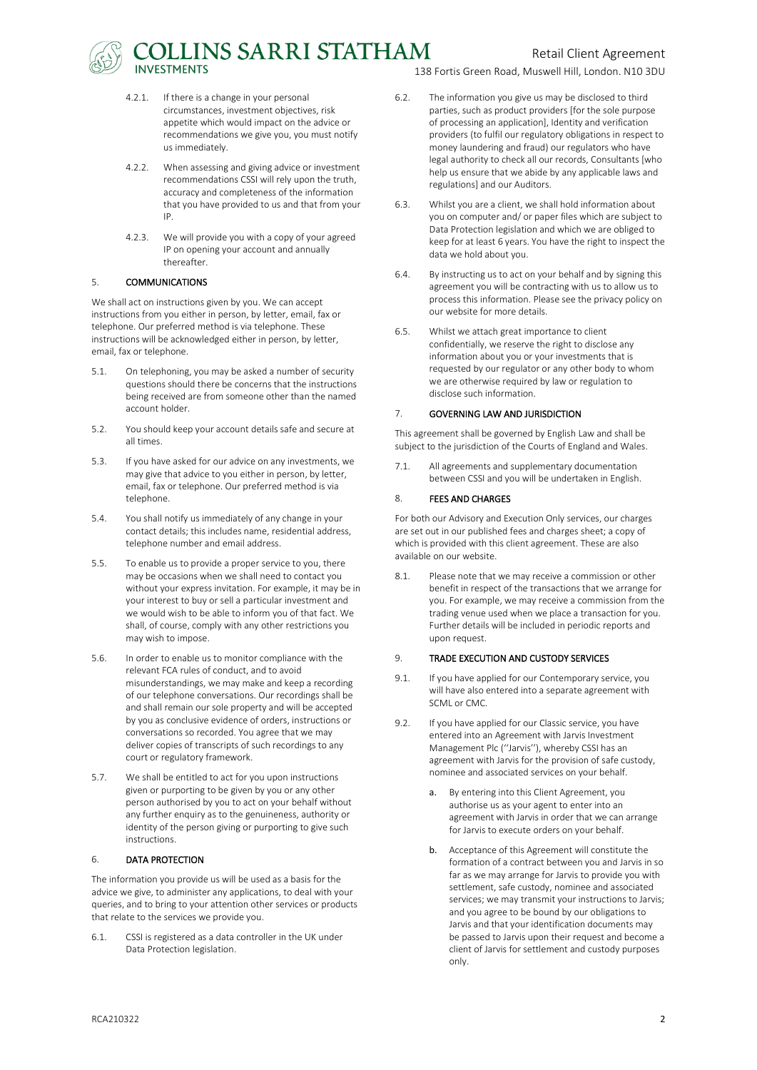

- 4.2.1. If there is a change in your personal circumstances, investment objectives, risk appetite which would impact on the advice or recommendations we give you, you must notify us immediately.
- 4.2.2. When assessing and giving advice or investment recommendations CSSI will rely upon the truth, accuracy and completeness of the information that you have provided to us and that from your IP.
- 4.2.3. We will provide you with a copy of your agreed IP on opening your account and annually thereafter.

#### 5. COMMUNICATIONS

We shall act on instructions given by you. We can accept instructions from you either in person, by letter, email, fax or telephone. Our preferred method is via telephone. These instructions will be acknowledged either in person, by letter, email, fax or telephone.

- 5.1. On telephoning, you may be asked a number of security questions should there be concerns that the instructions being received are from someone other than the named account holder.
- 5.2. You should keep your account details safe and secure at all times.
- 5.3. If you have asked for our advice on any investments, we may give that advice to you either in person, by letter, email, fax or telephone. Our preferred method is via telephone.
- 5.4. You shall notify us immediately of any change in your contact details; this includes name, residential address, telephone number and email address.
- 5.5. To enable us to provide a proper service to you, there may be occasions when we shall need to contact you without your express invitation. For example, it may be in your interest to buy or sell a particular investment and we would wish to be able to inform you of that fact. We shall, of course, comply with any other restrictions you may wish to impose.
- 5.6. In order to enable us to monitor compliance with the relevant FCA rules of conduct, and to avoid misunderstandings, we may make and keep a recording of our telephone conversations. Our recordings shall be and shall remain our sole property and will be accepted by you as conclusive evidence of orders, instructions or conversations so recorded. You agree that we may deliver copies of transcripts of such recordings to any court or regulatory framework.
- 5.7. We shall be entitled to act for you upon instructions given or purporting to be given by you or any other person authorised by you to act on your behalf without any further enquiry as to the genuineness, authority or identity of the person giving or purporting to give such instructions.

#### 6. DATA PROTECTION

The information you provide us will be used as a basis for the advice we give, to administer any applications, to deal with your queries, and to bring to your attention other services or products that relate to the services we provide you.

6.1. CSSI is registered as a data controller in the UK under Data Protection legislation.

138 Fortis Green Road, Muswell Hill, London. N10 3DU

- 6.2. The information you give us may be disclosed to third parties, such as product providers [for the sole purpose of processing an application], Identity and verification providers (to fulfil our regulatory obligations in respect to money laundering and fraud) our regulators who have legal authority to check all our records, Consultants [who help us ensure that we abide by any applicable laws and regulations] and our Auditors.
- 6.3. Whilst you are a client, we shall hold information about you on computer and/ or paper files which are subject to Data Protection legislation and which we are obliged to keep for at least 6 years. You have the right to inspect the data we hold about you.
- 6.4. By instructing us to act on your behalf and by signing this agreement you will be contracting with us to allow us to process this information. Please see the privacy policy on our website for more details.
- 6.5. Whilst we attach great importance to client confidentially, we reserve the right to disclose any information about you or your investments that is requested by our regulator or any other body to whom we are otherwise required by law or regulation to disclose such information.

#### 7. GOVERNING LAW AND JURISDICTION

This agreement shall be governed by English Law and shall be subject to the jurisdiction of the Courts of England and Wales.

7.1. All agreements and supplementary documentation between CSSI and you will be undertaken in English.

#### 8. FEES AND CHARGES

For both our Advisory and Execution Only services, our charges are set out in our published fees and charges sheet; a copy of which is provided with this client agreement. These are also available on our website.

8.1. Please note that we may receive a commission or other benefit in respect of the transactions that we arrange for you. For example, we may receive a commission from the trading venue used when we place a transaction for you. Further details will be included in periodic reports and upon request.

#### 9. TRADE EXECUTION AND CUSTODY SERVICES

- 9.1. If you have applied for our Contemporary service, you will have also entered into a separate agreement with SCML or CMC.
- 9.2. If you have applied for our Classic service, you have entered into an Agreement with Jarvis Investment Management Plc (''Jarvis''), whereby CSSI has an agreement with Jarvis for the provision of safe custody, nominee and associated services on your behalf.
	- a. By entering into this Client Agreement, you authorise us as your agent to enter into an agreement with Jarvis in order that we can arrange for Jarvis to execute orders on your behalf.
	- b. Acceptance of this Agreement will constitute the formation of a contract between you and Jarvis in so far as we may arrange for Jarvis to provide you with settlement, safe custody, nominee and associated services; we may transmit your instructions to Jarvis; and you agree to be bound by our obligations to Jarvis and that your identification documents may be passed to Jarvis upon their request and become a client of Jarvis for settlement and custody purposes only.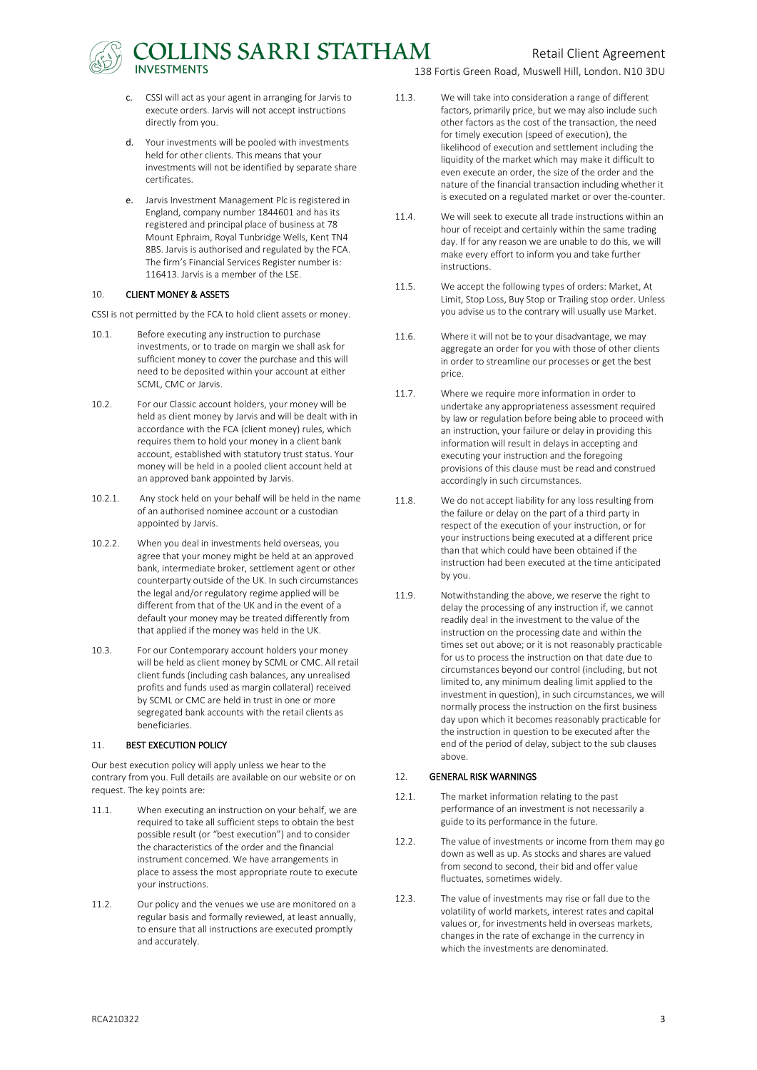# OLLINS SARRI STATHAM

- c. CSSI will act as your agent in arranging for Jarvis to execute orders. Jarvis will not accept instructions directly from you.
- d. Your investments will be pooled with investments held for other clients. This means that your investments will not be identified by separate share certificates.
- e. Jarvis Investment Management Plc is registered in England, company number 1844601 and has its registered and principal place of business at 78 Mount Ephraim, Royal Tunbridge Wells, Kent TN4 8BS. Jarvis is authorised and regulated by the FCA. The firm's Financial Services Register number is: 116413. Jarvis is a member of the LSE.

## 10. CLIENT MONEY & ASSETS

CSSI is not permitted by the FCA to hold client assets or money.

- 10.1. Before executing any instruction to purchase investments, or to trade on margin we shall ask for sufficient money to cover the purchase and this will need to be deposited within your account at either SCML, CMC or Jarvis.
- 10.2. For our Classic account holders, your money will be held as client money by Jarvis and will be dealt with in accordance with the FCA (client money) rules, which requires them to hold your money in a client bank account, established with statutory trust status. Your money will be held in a pooled client account held at an approved bank appointed by Jarvis.
- 10.2.1. Any stock held on your behalf will be held in the name of an authorised nominee account or a custodian appointed by Jarvis.
- 10.2.2. When you deal in investments held overseas, you agree that your money might be held at an approved bank, intermediate broker, settlement agent or other counterparty outside of the UK. In such circumstances the legal and/or regulatory regime applied will be different from that of the UK and in the event of a default your money may be treated differently from that applied if the money was held in the UK.
- 10.3. For our Contemporary account holders your money will be held as client money by SCML or CMC. All retail client funds (including cash balances, any unrealised profits and funds used as margin collateral) received by SCML or CMC are held in trust in one or more segregated bank accounts with the retail clients as beneficiaries.

## 11. BEST EXECUTION POLICY

Our best execution policy will apply unless we hear to the contrary from you. Full details are available on our website or on request. The key points are:

- 11.1. When executing an instruction on your behalf, we are required to take all sufficient steps to obtain the best possible result (or "best execution") and to consider the characteristics of the order and the financial instrument concerned. We have arrangements in place to assess the most appropriate route to execute your instructions.
- 11.2. Our policy and the venues we use are monitored on a regular basis and formally reviewed, at least annually, to ensure that all instructions are executed promptly and accurately.

138 Fortis Green Road, Muswell Hill, London. N10 3DU

- 11.3. We will take into consideration a range of different factors, primarily price, but we may also include such other factors as the cost of the transaction, the need for timely execution (speed of execution), the likelihood of execution and settlement including the liquidity of the market which may make it difficult to even execute an order, the size of the order and the nature of the financial transaction including whether it is executed on a regulated market or over the-counter.
- 11.4. We will seek to execute all trade instructions within an hour of receipt and certainly within the same trading day. If for any reason we are unable to do this, we will make every effort to inform you and take further **instructions**
- 11.5. We accept the following types of orders: Market, At Limit, Stop Loss, Buy Stop or Trailing stop order. Unless you advise us to the contrary will usually use Market.
- 11.6. Where it will not be to your disadvantage, we may aggregate an order for you with those of other clients in order to streamline our processes or get the best price.
- 11.7. Where we require more information in order to undertake any appropriateness assessment required by law or regulation before being able to proceed with an instruction, your failure or delay in providing this information will result in delays in accepting and executing your instruction and the foregoing provisions of this clause must be read and construed accordingly in such circumstances.
- 11.8. We do not accept liability for any loss resulting from the failure or delay on the part of a third party in respect of the execution of your instruction, or for your instructions being executed at a different price than that which could have been obtained if the instruction had been executed at the time anticipated by you.
- 11.9. Notwithstanding the above, we reserve the right to delay the processing of any instruction if, we cannot readily deal in the investment to the value of the instruction on the processing date and within the times set out above; or it is not reasonably practicable for us to process the instruction on that date due to circumstances beyond our control (including, but not limited to, any minimum dealing limit applied to the investment in question), in such circumstances, we will normally process the instruction on the first business day upon which it becomes reasonably practicable for the instruction in question to be executed after the end of the period of delay, subject to the sub clauses above.

# 12. GENERAL RISK WARNINGS

- 12.1. The market information relating to the past performance of an investment is not necessarily a guide to its performance in the future.
- 12.2. The value of investments or income from them may go down as well as up. As stocks and shares are valued from second to second, their bid and offer value fluctuates, sometimes widely.
- 12.3. The value of investments may rise or fall due to the volatility of world markets, interest rates and capital values or, for investments held in overseas markets, changes in the rate of exchange in the currency in which the investments are denominated.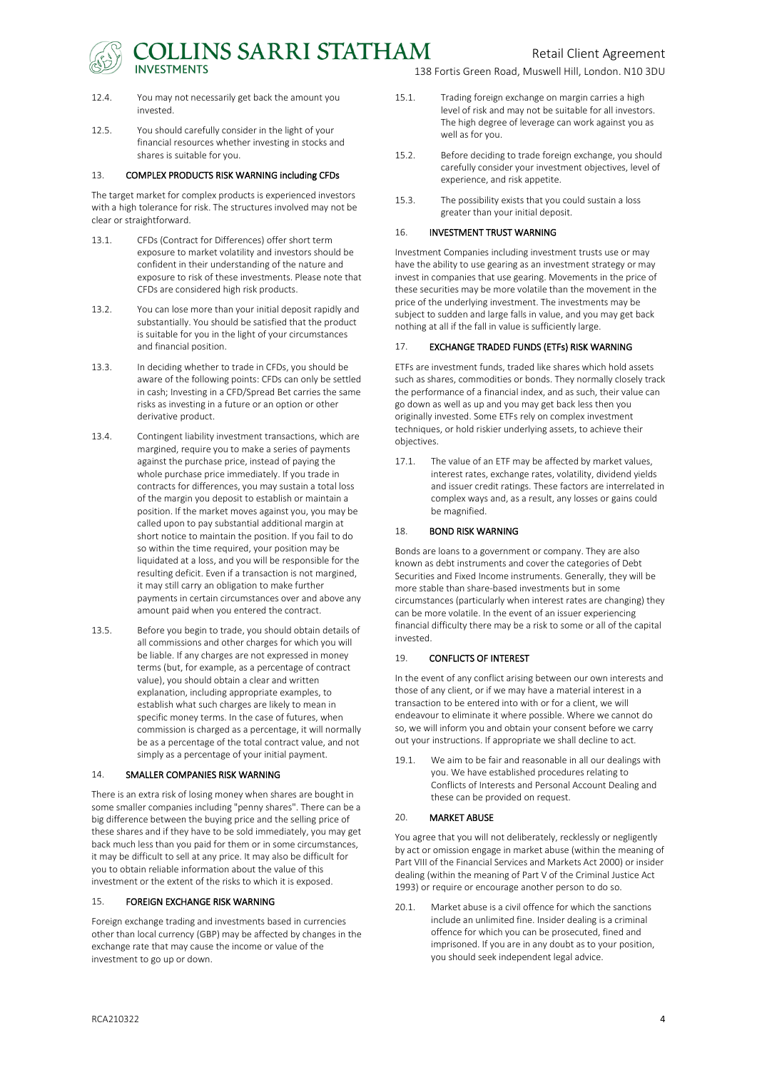COLLINS SARRI STATHAM

Retail Client Agreement

138 Fortis Green Road, Muswell Hill, London. N10 3DU

- 12.4. You may not necessarily get back the amount you invested.
- 12.5. You should carefully consider in the light of your financial resources whether investing in stocks and shares is suitable for you.

#### 13. COMPLEX PRODUCTS RISK WARNING including CFDs

The target market for complex products is experienced investors with a high tolerance for risk. The structures involved may not be clear or straightforward.

- 13.1. CFDs (Contract for Differences) offer short term exposure to market volatility and investors should be confident in their understanding of the nature and exposure to risk of these investments. Please note that CFDs are considered high risk products.
- 13.2. You can lose more than your initial deposit rapidly and substantially. You should be satisfied that the product is suitable for you in the light of your circumstances and financial position.
- 13.3. In deciding whether to trade in CFDs, you should be aware of the following points: CFDs can only be settled in cash; Investing in a CFD/Spread Bet carries the same risks as investing in a future or an option or other derivative product.
- 13.4. Contingent liability investment transactions, which are margined, require you to make a series of payments against the purchase price, instead of paying the whole purchase price immediately. If you trade in contracts for differences, you may sustain a total loss of the margin you deposit to establish or maintain a position. If the market moves against you, you may be called upon to pay substantial additional margin at short notice to maintain the position. If you fail to do so within the time required, your position may be liquidated at a loss, and you will be responsible for the resulting deficit. Even if a transaction is not margined, it may still carry an obligation to make further payments in certain circumstances over and above any amount paid when you entered the contract.
- 13.5. Before you begin to trade, you should obtain details of all commissions and other charges for which you will be liable. If any charges are not expressed in money terms (but, for example, as a percentage of contract value), you should obtain a clear and written explanation, including appropriate examples, to establish what such charges are likely to mean in specific money terms. In the case of futures, when commission is charged as a percentage, it will normally be as a percentage of the total contract value, and not simply as a percentage of your initial payment.

#### 14. SMALLER COMPANIES RISK WARNING

There is an extra risk of losing money when shares are bought in some smaller companies including "penny shares". There can be a big difference between the buying price and the selling price of these shares and if they have to be sold immediately, you may get back much less than you paid for them or in some circumstances, it may be difficult to sell at any price. It may also be difficult for you to obtain reliable information about the value of this investment or the extent of the risks to which it is exposed.

#### 15. FOREIGN EXCHANGE RISK WARNING

Foreign exchange trading and investments based in currencies other than local currency (GBP) may be affected by changes in the exchange rate that may cause the income or value of the investment to go up or down.

- 15.1. Trading foreign exchange on margin carries a high level of risk and may not be suitable for all investors. The high degree of leverage can work against you as well as for you.
- 15.2. Before deciding to trade foreign exchange, you should carefully consider your investment objectives, level of experience, and risk appetite.
- 15.3. The possibility exists that you could sustain a loss greater than your initial deposit.

#### 16. INVESTMENT TRUST WARNING

Investment Companies including investment trusts use or may have the ability to use gearing as an investment strategy or may invest in companies that use gearing. Movements in the price of these securities may be more volatile than the movement in the price of the underlying investment. The investments may be subject to sudden and large falls in value, and you may get back nothing at all if the fall in value is sufficiently large.

#### 17. EXCHANGE TRADED FUNDS (ETFs) RISK WARNING

ETFs are investment funds, traded like shares which hold assets such as shares, commodities or bonds. They normally closely track the performance of a financial index, and as such, their value can go down as well as up and you may get back less then you originally invested. Some ETFs rely on complex investment techniques, or hold riskier underlying assets, to achieve their objectives.

17.1. The value of an ETF may be affected by market values, interest rates, exchange rates, volatility, dividend yields and issuer credit ratings. These factors are interrelated in complex ways and, as a result, any losses or gains could be magnified.

#### 18. BOND RISK WARNING

Bonds are loans to a government or company. They are also known as debt instruments and cover the categories of Debt Securities and Fixed Income instruments. Generally, they will be more stable than share-based investments but in some circumstances (particularly when interest rates are changing) they can be more volatile. In the event of an issuer experiencing financial difficulty there may be a risk to some or all of the capital invested.

#### 19. CONFLICTS OF INTEREST

In the event of any conflict arising between our own interests and those of any client, or if we may have a material interest in a transaction to be entered into with or for a client, we will endeavour to eliminate it where possible. Where we cannot do so, we will inform you and obtain your consent before we carry out your instructions. If appropriate we shall decline to act.

19.1. We aim to be fair and reasonable in all our dealings with you. We have established procedures relating to Conflicts of Interests and Personal Account Dealing and these can be provided on request.

#### 20. MARKET ABUSE

You agree that you will not deliberately, recklessly or negligently by act or omission engage in market abuse (within the meaning of Part VIII of the Financial Services and Markets Act 2000) or insider dealing (within the meaning of Part V of the Criminal Justice Act 1993) or require or encourage another person to do so.

20.1. Market abuse is a civil offence for which the sanctions include an unlimited fine. Insider dealing is a criminal offence for which you can be prosecuted, fined and imprisoned. If you are in any doubt as to your position, you should seek independent legal advice.